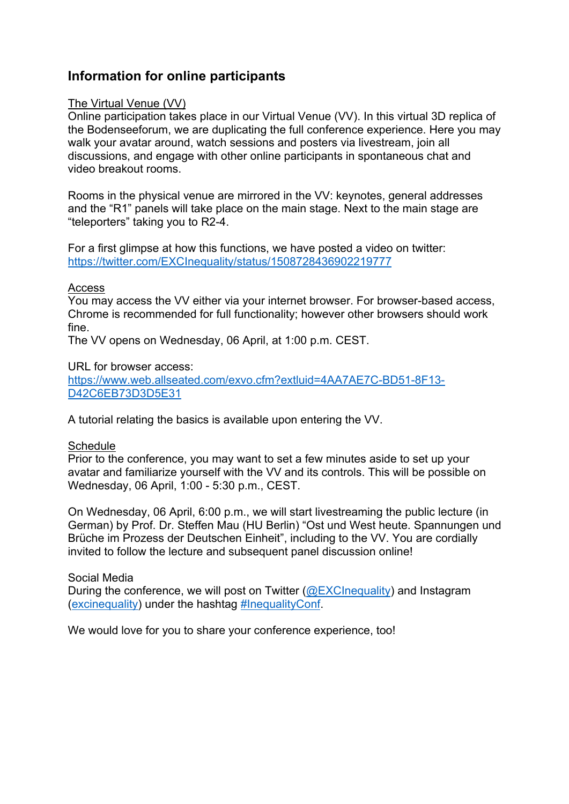# **Information for online participants**

# The Virtual Venue (VV)

Online participation takes place in our Virtual Venue (VV). In this virtual 3D replica of the Bodenseeforum, we are duplicating the full conference experience. Here you may walk your avatar around, watch sessions and posters via livestream, join all discussions, and engage with other online participants in spontaneous chat and video breakout rooms.

Rooms in the physical venue are mirrored in the VV: keynotes, general addresses and the "R1" panels will take place on the main stage. Next to the main stage are "teleporters" taking you to R2-4.

For a first glimpse at how this functions, we have posted a video on twitter: https://twitter.com/EXCInequality/status/1508728436902219777

#### Access

You may access the VV either via your internet browser. For browser-based access, Chrome is recommended for full functionality; however other browsers should work fine.

The VV opens on Wednesday, 06 April, at 1:00 p.m. CEST.

URL for browser access:

https://www.web.allseated.com/exvo.cfm?extluid=4AA7AE7C-BD51-8F13- D42C6EB73D3D5E31

A tutorial relating the basics is available upon entering the VV.

#### **Schedule**

Prior to the conference, you may want to set a few minutes aside to set up your avatar and familiarize yourself with the VV and its controls. This will be possible on Wednesday, 06 April, 1:00 - 5:30 p.m., CEST.

On Wednesday, 06 April, 6:00 p.m., we will start livestreaming the public lecture (in German) by Prof. Dr. Steffen Mau (HU Berlin) "Ost und West heute. Spannungen und Brüche im Prozess der Deutschen Einheit", including to the VV. You are cordially invited to follow the lecture and subsequent panel discussion online!

# Social Media

During the conference, we will post on Twitter (@EXCInequality) and Instagram (excinequality) under the hashtag #InequalityConf.

We would love for you to share your conference experience, too!